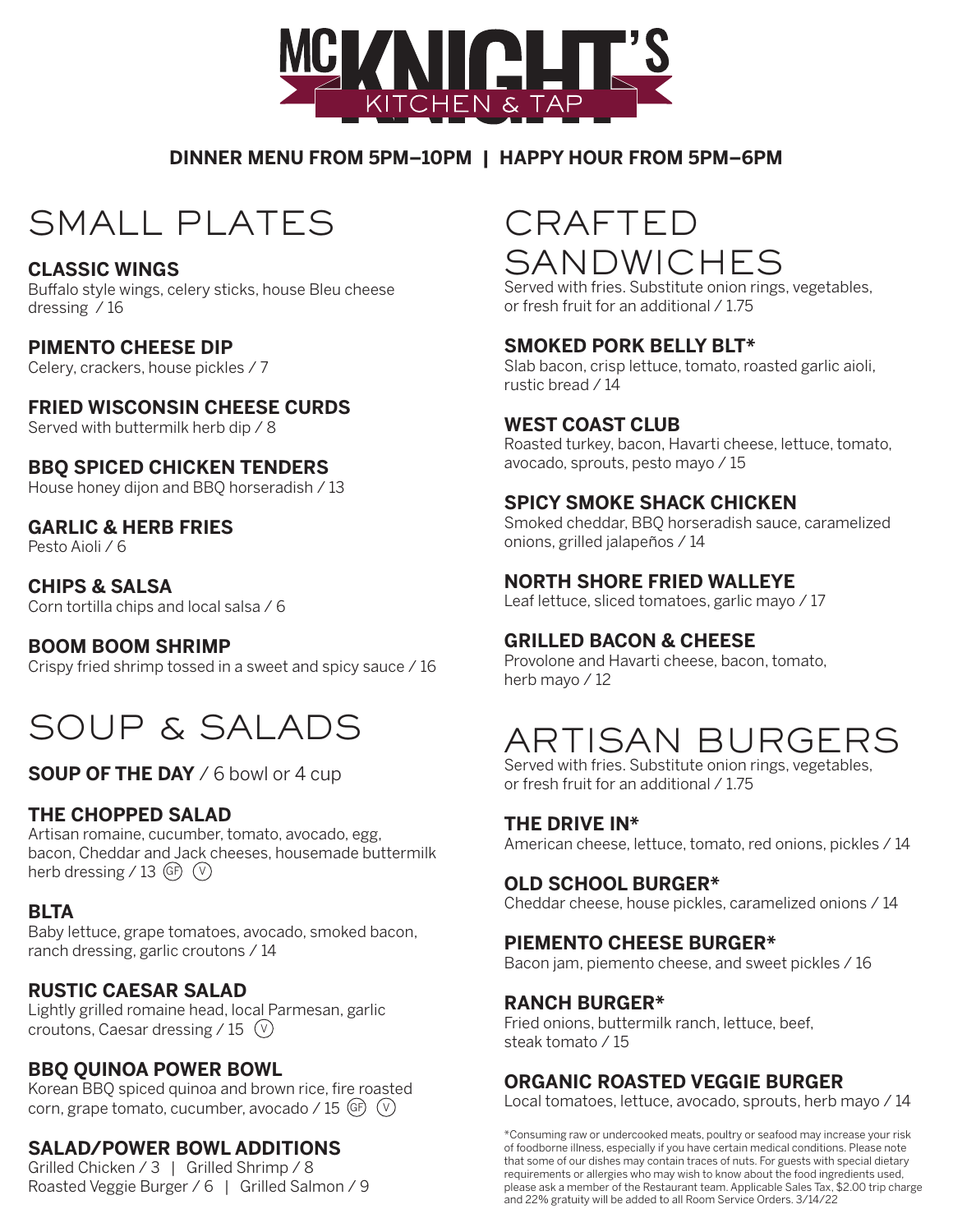

### **DINNER MENU FROM 5PM–10PM | HAPPY HOUR FROM 5PM–6PM**

# SMALL PLATES

#### **CLASSIC WINGS**

Buffalo style wings, celery sticks, house Bleu cheese dressing / 16

#### **PIMENTO CHEESE DIP**

Celery, crackers, house pickles / 7

### **FRIED WISCONSIN CHEESE CURDS**

Served with buttermilk herb dip / 8

#### **BBQ SPICED CHICKEN TENDERS**

House honey dijon and BBQ horseradish / 13

#### **GARLIC & HERB FRIES**

Pesto Aioli / 6

## **CHIPS & SALSA**

Corn tortilla chips and local salsa / 6

#### **BOOM BOOM SHRIMP**

Crispy fried shrimp tossed in a sweet and spicy sauce / 16

# SOUP & SALADS

**SOUP OF THE DAY** / 6 bowl or 4 cup

### **THE CHOPPED SALAD**

Artisan romaine, cucumber, tomato, avocado, egg, bacon, Cheddar and Jack cheeses, housemade buttermilk herb dressing / 13  $(F)$   $(V)$ 

### **BLTA**

Baby lettuce, grape tomatoes, avocado, smoked bacon, ranch dressing, garlic croutons / 14

### **RUSTIC CAESAR SALAD**

Lightly grilled romaine head, local Parmesan, garlic croutons, Caesar dressing / 15  $(V)$ 

### **BBQ QUINOA POWER BOWL**

Korean BBQ spiced quinoa and brown rice, fire roasted corn, grape tomato, cucumber, avocado / 15  $(F)$   $(V)$ 

### **SALAD/POWER BOWL ADDITIONS**

Grilled Chicken / 3 | Grilled Shrimp / 8 Roasted Veggie Burger / 6 | Grilled Salmon / 9

# CRAFTED SANDWICHES

Served with fries. Substitute onion rings, vegetables, or fresh fruit for an additional / 1.75

#### **SMOKED PORK BELLY BLT\***

Slab bacon, crisp lettuce, tomato, roasted garlic aioli, rustic bread / 14

#### **WEST COAST CLUB**

Roasted turkey, bacon, Havarti cheese, lettuce, tomato, avocado, sprouts, pesto mayo / 15

#### **SPICY SMOKE SHACK CHICKEN**

Smoked cheddar, BBQ horseradish sauce, caramelized onions, grilled jalapeños / 14

### **NORTH SHORE FRIED WALLEYE**

Leaf lettuce, sliced tomatoes, garlic mayo / 17

#### **GRILLED BACON & CHEESE**

Provolone and Havarti cheese, bacon, tomato, herb mayo / 12

# ARTISAN BURGERS

Served with fries. Substitute onion rings, vegetables, or fresh fruit for an additional / 1.75

#### **THE DRIVE IN\***

American cheese, lettuce, tomato, red onions, pickles / 14

#### **OLD SCHOOL BURGER\***

Cheddar cheese, house pickles, caramelized onions / 14

#### **PIEMENTO CHEESE BURGER\***

Bacon jam, piemento cheese, and sweet pickles / 16

#### **RANCH BURGER\***

Fried onions, buttermilk ranch, lettuce, beef, steak tomato / 15

#### **ORGANIC ROASTED VEGGIE BURGER**

Local tomatoes, lettuce, avocado, sprouts, herb mayo / 14

\*Consuming raw or undercooked meats, poultry or seafood may increase your risk of foodborne illness, especially if you have certain medical conditions. Please note that some of our dishes may contain traces of nuts. For guests with special dietary requirements or allergies who may wish to know about the food ingredients used, please ask a member of the Restaurant team. Applicable Sales Tax, \$2.00 trip charge and 22% gratuity will be added to all Room Service Orders. 3/14/22